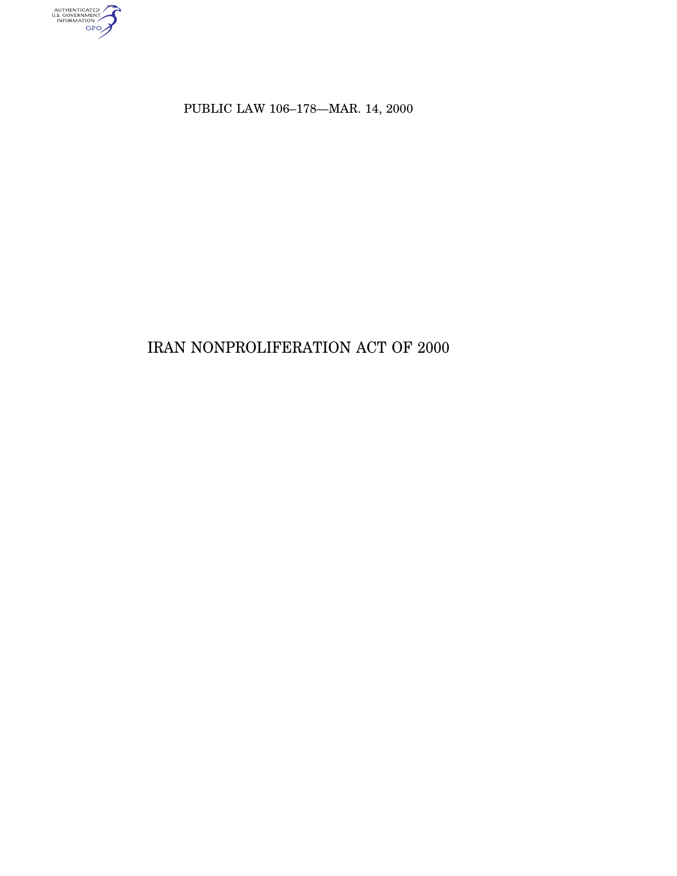

PUBLIC LAW 106–178—MAR. 14, 2000

# IRAN NONPROLIFERATION ACT OF 2000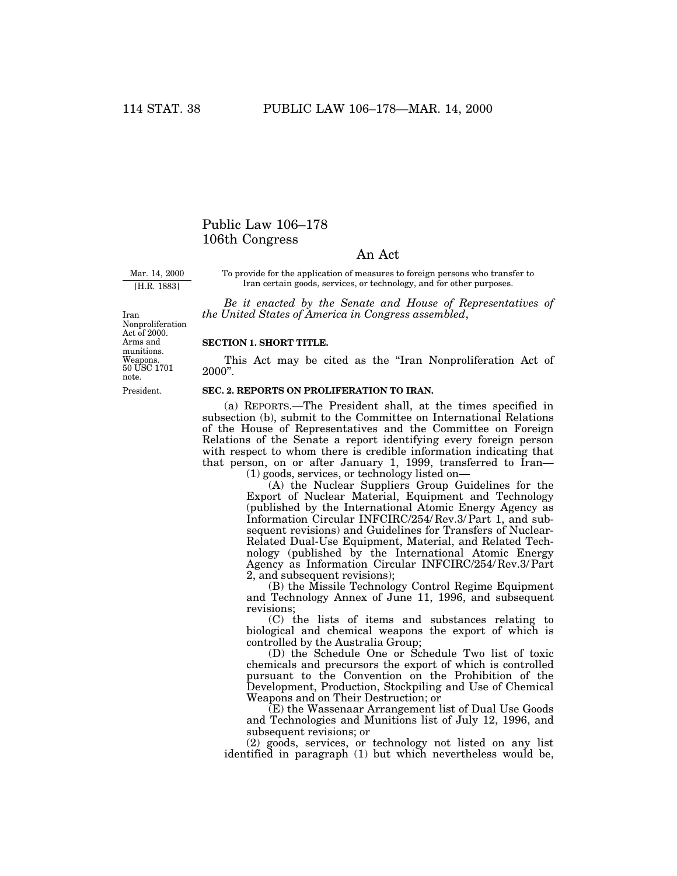# Public Law 106–178 106th Congress

# An Act

Mar. 14, 2000 [H.R. 1883]

To provide for the application of measures to foreign persons who transfer to Iran certain goods, services, or technology, and for other purposes.

*Be it enacted by the Senate and House of Representatives of the United States of America in Congress assembled*,

50 USC 1701 Weapons. note. Iran Nonproliferation Act of 2000. Arms and munitions.

President.

# **SECTION 1. SHORT TITLE.**

This Act may be cited as the "Iran Nonproliferation Act of 2000''.

### **SEC. 2. REPORTS ON PROLIFERATION TO IRAN.**

(a) REPORTS.—The President shall, at the times specified in subsection (b), submit to the Committee on International Relations of the House of Representatives and the Committee on Foreign Relations of the Senate a report identifying every foreign person with respect to whom there is credible information indicating that that person, on or after January 1, 1999, transferred to Iran— (1) goods, services, or technology listed on—

(A) the Nuclear Suppliers Group Guidelines for the Export of Nuclear Material, Equipment and Technology (published by the International Atomic Energy Agency as Information Circular INFCIRC/254/ Rev.3/ Part 1, and subsequent revisions) and Guidelines for Transfers of Nuclear-Related Dual-Use Equipment, Material, and Related Technology (published by the International Atomic Energy Agency as Information Circular INFCIRC/254/ Rev.3/ Part 2, and subsequent revisions):

(B) the Missile Technology Control Regime Equipment and Technology Annex of June 11, 1996, and subsequent revisions;

(C) the lists of items and substances relating to biological and chemical weapons the export of which is controlled by the Australia Group;

(D) the Schedule One or Schedule Two list of toxic chemicals and precursors the export of which is controlled pursuant to the Convention on the Prohibition of the Development, Production, Stockpiling and Use of Chemical Weapons and on Their Destruction; or

(E) the Wassenaar Arrangement list of Dual Use Goods and Technologies and Munitions list of July 12, 1996, and subsequent revisions; or

(2) goods, services, or technology not listed on any list identified in paragraph (1) but which nevertheless would be,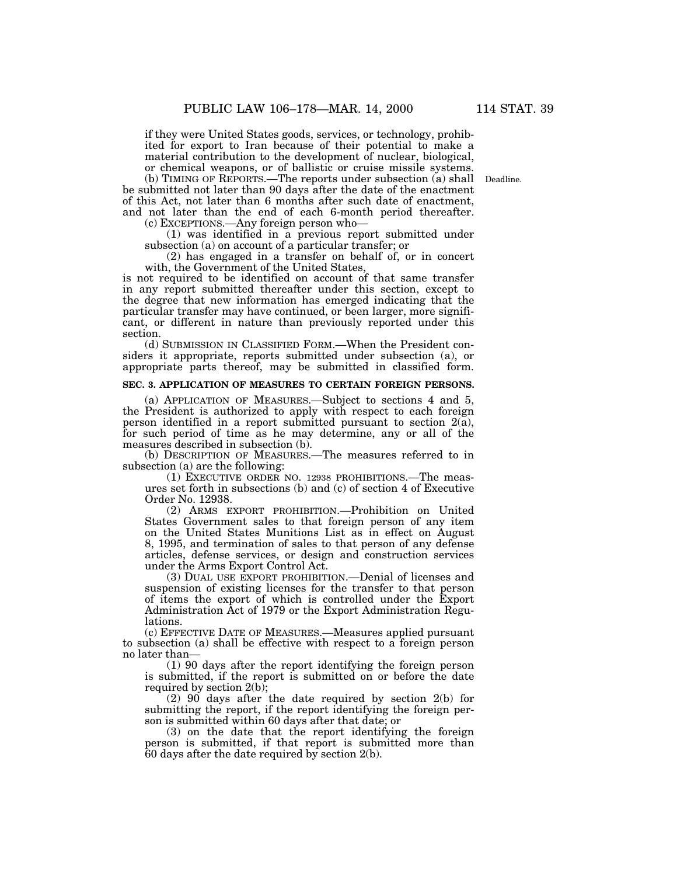if they were United States goods, services, or technology, prohibited for export to Iran because of their potential to make a material contribution to the development of nuclear, biological, or chemical weapons, or of ballistic or cruise missile systems.

(b) TIMING OF REPORTS.—The reports under subsection (a) shall Deadline. be submitted not later than 90 days after the date of the enactment of this Act, not later than 6 months after such date of enactment, and not later than the end of each 6-month period thereafter. (c) EXCEPTIONS.—Any foreign person who—

(1) was identified in a previous report submitted under subsection (a) on account of a particular transfer; or

(2) has engaged in a transfer on behalf of, or in concert with, the Government of the United States,

is not required to be identified on account of that same transfer in any report submitted thereafter under this section, except to the degree that new information has emerged indicating that the particular transfer may have continued, or been larger, more significant, or different in nature than previously reported under this section.

(d) SUBMISSION IN CLASSIFIED FORM.—When the President considers it appropriate, reports submitted under subsection (a), or appropriate parts thereof, may be submitted in classified form.

#### **SEC. 3. APPLICATION OF MEASURES TO CERTAIN FOREIGN PERSONS.**

(a) APPLICATION OF MEASURES.—Subject to sections 4 and 5, the President is authorized to apply with respect to each foreign person identified in a report submitted pursuant to section 2(a), for such period of time as he may determine, any or all of the measures described in subsection (b).

(b) DESCRIPTION OF MEASURES.—The measures referred to in subsection (a) are the following:

(1) EXECUTIVE ORDER NO. 12938 PROHIBITIONS.—The measures set forth in subsections (b) and (c) of section 4 of Executive Order No. 12938.

(2) ARMS EXPORT PROHIBITION.—Prohibition on United States Government sales to that foreign person of any item on the United States Munitions List as in effect on August 8, 1995, and termination of sales to that person of any defense articles, defense services, or design and construction services under the Arms Export Control Act.

(3) DUAL USE EXPORT PROHIBITION.—Denial of licenses and suspension of existing licenses for the transfer to that person of items the export of which is controlled under the Export Administration Act of 1979 or the Export Administration Regulations.

(c) EFFECTIVE DATE OF MEASURES.—Measures applied pursuant to subsection (a) shall be effective with respect to a foreign person no later than—

(1) 90 days after the report identifying the foreign person is submitted, if the report is submitted on or before the date required by section 2(b);

(2) 90 days after the date required by section 2(b) for submitting the report, if the report identifying the foreign person is submitted within 60 days after that date; or

(3) on the date that the report identifying the foreign person is submitted, if that report is submitted more than  $60$  days after the date required by section 2(b).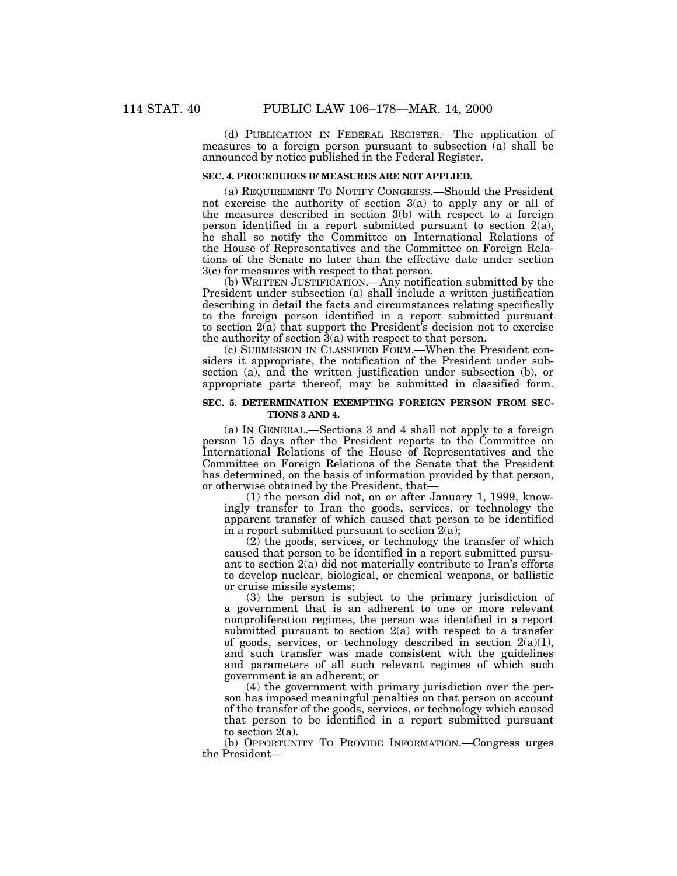(d) PUBLICATION IN FEDERAL REGISTER.—The application of measures to a foreign person pursuant to subsection  $\overline{a}$ ) shall be announced by notice published in the Federal Register.

#### **SEC. 4. PROCEDURES IF MEASURES ARE NOT APPLIED.**

(a) REQUIREMENT TO NOTIFY CONGRESS.—Should the President not exercise the authority of section 3(a) to apply any or all of the measures described in section 3(b) with respect to a foreign person identified in a report submitted pursuant to section  $2(a)$ , he shall so notify the Committee on International Relations of the House of Representatives and the Committee on Foreign Relations of the Senate no later than the effective date under section 3(c) for measures with respect to that person.

(b) WRITTEN JUSTIFICATION.—Any notification submitted by the President under subsection (a) shall include a written justification describing in detail the facts and circumstances relating specifically to the foreign person identified in a report submitted pursuant to section 2(a) that support the President's decision not to exercise the authority of section 3(a) with respect to that person.

(c) SUBMISSION IN CLASSIFIED FORM.—When the President considers it appropriate, the notification of the President under subsection (a), and the written justification under subsection (b), or appropriate parts thereof, may be submitted in classified form.

## **SEC. 5. DETERMINATION EXEMPTING FOREIGN PERSON FROM SEC-TIONS 3 AND 4.**

(a) IN GENERAL.—Sections 3 and 4 shall not apply to a foreign person 15 days after the President reports to the Committee on International Relations of the House of Representatives and the Committee on Foreign Relations of the Senate that the President has determined, on the basis of information provided by that person, or otherwise obtained by the President, that—

(1) the person did not, on or after January 1, 1999, knowingly transfer to Iran the goods, services, or technology the apparent transfer of which caused that person to be identified in a report submitted pursuant to section  $2(a)$ ;

(2) the goods, services, or technology the transfer of which caused that person to be identified in a report submitted pursuant to section 2(a) did not materially contribute to Iran's efforts to develop nuclear, biological, or chemical weapons, or ballistic or cruise missile systems;

(3) the person is subject to the primary jurisdiction of a government that is an adherent to one or more relevant nonproliferation regimes, the person was identified in a report submitted pursuant to section  $2(a)$  with respect to a transfer of goods, services, or technology described in section  $2(a)(1)$ , and such transfer was made consistent with the guidelines and parameters of all such relevant regimes of which such government is an adherent; or

(4) the government with primary jurisdiction over the person has imposed meaningful penalties on that person on account of the transfer of the goods, services, or technology which caused that person to be identified in a report submitted pursuant to section 2(a).

(b) OPPORTUNITY TO PROVIDE INFORMATION.—Congress urges the President—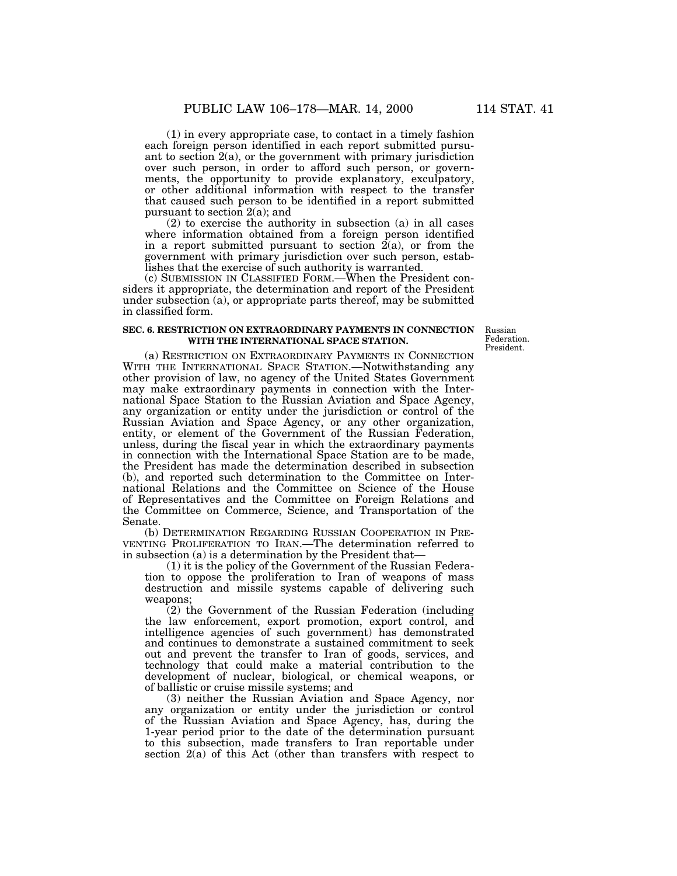(1) in every appropriate case, to contact in a timely fashion each foreign person identified in each report submitted pursuant to section  $2(a)$ , or the government with primary jurisdiction over such person, in order to afford such person, or governments, the opportunity to provide explanatory, exculpatory, or other additional information with respect to the transfer that caused such person to be identified in a report submitted pursuant to section 2(a); and

(2) to exercise the authority in subsection (a) in all cases where information obtained from a foreign person identified in a report submitted pursuant to section  $2(a)$ , or from the government with primary jurisdiction over such person, establishes that the exercise of such authority is warranted.

(c) SUBMISSION IN CLASSIFIED FORM.—When the President considers it appropriate, the determination and report of the President under subsection (a), or appropriate parts thereof, may be submitted in classified form.

## **SEC. 6. RESTRICTION ON EXTRAORDINARY PAYMENTS IN CONNECTION WITH THE INTERNATIONAL SPACE STATION.**

Russian Federation. President.

(a) RESTRICTION ON EXTRAORDINARY PAYMENTS IN CONNECTION WITH THE INTERNATIONAL SPACE STATION.—Notwithstanding any other provision of law, no agency of the United States Government may make extraordinary payments in connection with the International Space Station to the Russian Aviation and Space Agency, any organization or entity under the jurisdiction or control of the Russian Aviation and Space Agency, or any other organization, entity, or element of the Government of the Russian Federation, unless, during the fiscal year in which the extraordinary payments in connection with the International Space Station are to be made, the President has made the determination described in subsection (b), and reported such determination to the Committee on International Relations and the Committee on Science of the House of Representatives and the Committee on Foreign Relations and the Committee on Commerce, Science, and Transportation of the Senate.

(b) DETERMINATION REGARDING RUSSIAN COOPERATION IN PRE-VENTING PROLIFERATION TO IRAN.—The determination referred to in subsection (a) is a determination by the President that—

(1) it is the policy of the Government of the Russian Federation to oppose the proliferation to Iran of weapons of mass destruction and missile systems capable of delivering such weapons;

(2) the Government of the Russian Federation (including the law enforcement, export promotion, export control, and intelligence agencies of such government) has demonstrated and continues to demonstrate a sustained commitment to seek out and prevent the transfer to Iran of goods, services, and technology that could make a material contribution to the development of nuclear, biological, or chemical weapons, or of ballistic or cruise missile systems; and

(3) neither the Russian Aviation and Space Agency, nor any organization or entity under the jurisdiction or control of the Russian Aviation and Space Agency, has, during the 1-year period prior to the date of the determination pursuant to this subsection, made transfers to Iran reportable under section 2(a) of this Act (other than transfers with respect to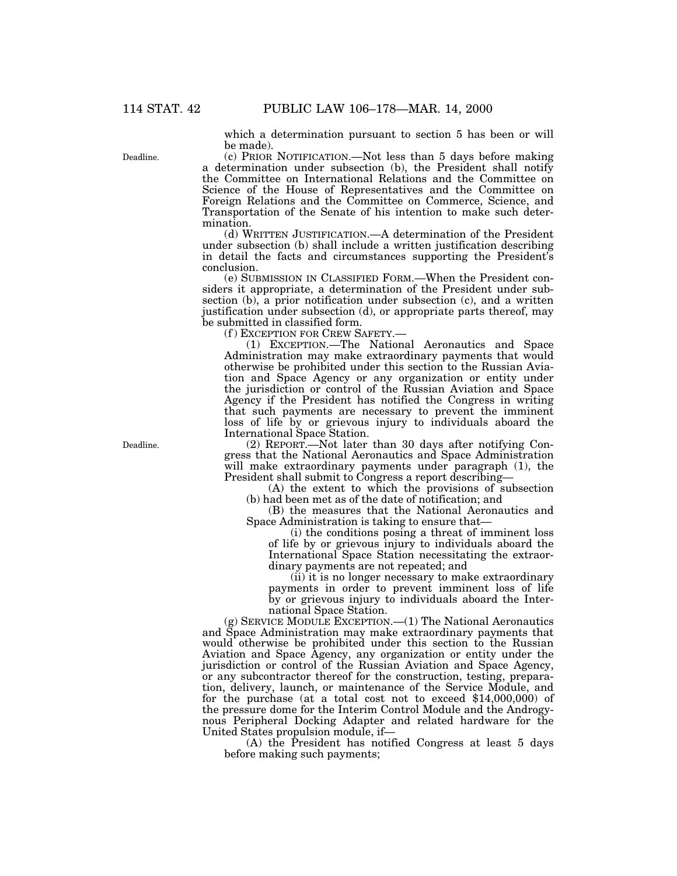Deadline.

which a determination pursuant to section 5 has been or will be made).

(c) PRIOR NOTIFICATION.—Not less than 5 days before making a determination under subsection (b), the President shall notify the Committee on International Relations and the Committee on Science of the House of Representatives and the Committee on Foreign Relations and the Committee on Commerce, Science, and Transportation of the Senate of his intention to make such determination.

(d) WRITTEN JUSTIFICATION.—A determination of the President under subsection (b) shall include a written justification describing in detail the facts and circumstances supporting the President's conclusion.

(e) SUBMISSION IN CLASSIFIED FORM.—When the President considers it appropriate, a determination of the President under subsection (b), a prior notification under subsection (c), and a written justification under subsection (d), or appropriate parts thereof, may be submitted in classified form.

(f) EXCEPTION FOR CREW SAFETY.-

(1) EXCEPTION.—The National Aeronautics and Space Administration may make extraordinary payments that would otherwise be prohibited under this section to the Russian Aviation and Space Agency or any organization or entity under the jurisdiction or control of the Russian Aviation and Space Agency if the President has notified the Congress in writing that such payments are necessary to prevent the imminent loss of life by or grievous injury to individuals aboard the International Space Station.

(2) REPORT.—Not later than 30 days after notifying Congress that the National Aeronautics and Space Administration will make extraordinary payments under paragraph (1), the President shall submit to Congress a report describing—

(A) the extent to which the provisions of subsection (b) had been met as of the date of notification; and

(B) the measures that the National Aeronautics and Space Administration is taking to ensure that—

(i) the conditions posing a threat of imminent loss of life by or grievous injury to individuals aboard the International Space Station necessitating the extraordinary payments are not repeated; and

(ii) it is no longer necessary to make extraordinary payments in order to prevent imminent loss of life by or grievous injury to individuals aboard the International Space Station.

(g) SERVICE MODULE EXCEPTION.—(1) The National Aeronautics and Space Administration may make extraordinary payments that would otherwise be prohibited under this section to the Russian Aviation and Space Agency, any organization or entity under the jurisdiction or control of the Russian Aviation and Space Agency, or any subcontractor thereof for the construction, testing, preparation, delivery, launch, or maintenance of the Service Module, and for the purchase (at a total cost not to exceed \$14,000,000) of the pressure dome for the Interim Control Module and the Androgynous Peripheral Docking Adapter and related hardware for the United States propulsion module, if—

(A) the President has notified Congress at least 5 days before making such payments;

Deadline.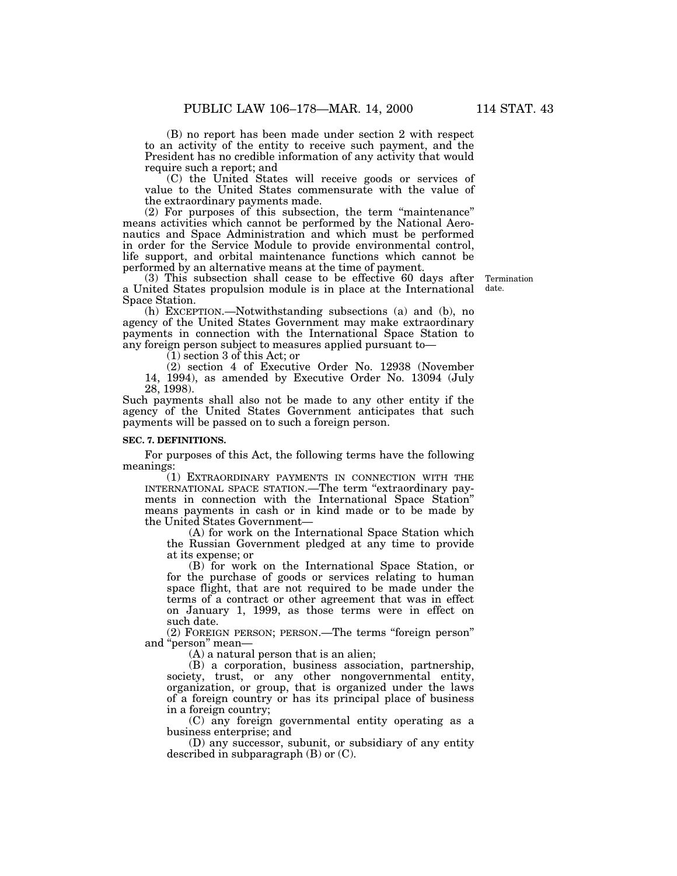(B) no report has been made under section 2 with respect to an activity of the entity to receive such payment, and the President has no credible information of any activity that would require such a report; and

(C) the United States will receive goods or services of value to the United States commensurate with the value of the extraordinary payments made.

(2) For purposes of this subsection, the term ''maintenance'' means activities which cannot be performed by the National Aeronautics and Space Administration and which must be performed in order for the Service Module to provide environmental control, life support, and orbital maintenance functions which cannot be performed by an alternative means at the time of payment.

(3) This subsection shall cease to be effective 60 days after a United States propulsion module is in place at the International Space Station.

(h) EXCEPTION.—Notwithstanding subsections (a) and (b), no agency of the United States Government may make extraordinary payments in connection with the International Space Station to any foreign person subject to measures applied pursuant to—

(1) section 3 of this Act; or

(2) section 4 of Executive Order No. 12938 (November 14, 1994), as amended by Executive Order No. 13094 (July 28, 1998).

Such payments shall also not be made to any other entity if the agency of the United States Government anticipates that such payments will be passed on to such a foreign person.

#### **SEC. 7. DEFINITIONS.**

For purposes of this Act, the following terms have the following meanings:

(1) EXTRAORDINARY PAYMENTS IN CONNECTION WITH THE INTERNATIONAL SPACE STATION.—The term ''extraordinary payments in connection with the International Space Station'' means payments in cash or in kind made or to be made by the United States Government—

(A) for work on the International Space Station which the Russian Government pledged at any time to provide at its expense; or

(B) for work on the International Space Station, or for the purchase of goods or services relating to human space flight, that are not required to be made under the terms of a contract or other agreement that was in effect on January 1, 1999, as those terms were in effect on such date.

(2) FOREIGN PERSON; PERSON.—The terms ''foreign person'' and ''person'' mean—

(A) a natural person that is an alien;

(B) a corporation, business association, partnership, society, trust, or any other nongovernmental entity, organization, or group, that is organized under the laws of a foreign country or has its principal place of business in a foreign country;

(C) any foreign governmental entity operating as a business enterprise; and

(D) any successor, subunit, or subsidiary of any entity described in subparagraph (B) or (C).

Termination date.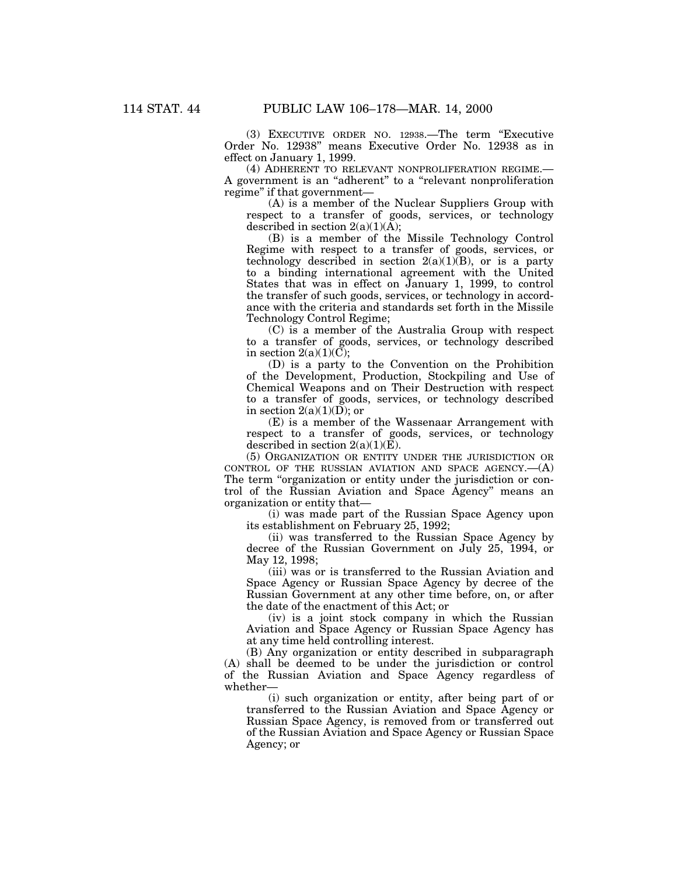(3) EXECUTIVE ORDER NO. 12938.—The term ''Executive Order No. 12938'' means Executive Order No. 12938 as in effect on January 1, 1999.

(4) ADHERENT TO RELEVANT NONPROLIFERATION REGIME.— A government is an ''adherent'' to a ''relevant nonproliferation regime'' if that government—

(A) is a member of the Nuclear Suppliers Group with respect to a transfer of goods, services, or technology described in section  $2(a)(1)(A);$ 

(B) is a member of the Missile Technology Control Regime with respect to a transfer of goods, services, or technology described in section  $2(a)(1)(B)$ , or is a party to a binding international agreement with the United States that was in effect on January 1, 1999, to control the transfer of such goods, services, or technology in accordance with the criteria and standards set forth in the Missile Technology Control Regime;

(C) is a member of the Australia Group with respect to a transfer of goods, services, or technology described in section  $2(a)(1)(\overline{C})$ ;

(D) is a party to the Convention on the Prohibition of the Development, Production, Stockpiling and Use of Chemical Weapons and on Their Destruction with respect to a transfer of goods, services, or technology described in section  $2(a)(1)(D)$ ; or

(E) is a member of the Wassenaar Arrangement with respect to a transfer of goods, services, or technology described in section  $2(a)(1)(E)$ .

(5) ORGANIZATION OR ENTITY UNDER THE JURISDICTION OR CONTROL OF THE RUSSIAN AVIATION AND SPACE AGENCY. $-(A)$ The term "organization or entity under the jurisdiction or control of the Russian Aviation and Space Agency'' means an organization or entity that—

(i) was made part of the Russian Space Agency upon its establishment on February 25, 1992;

(ii) was transferred to the Russian Space Agency by decree of the Russian Government on July 25, 1994, or May 12, 1998;

(iii) was or is transferred to the Russian Aviation and Space Agency or Russian Space Agency by decree of the Russian Government at any other time before, on, or after the date of the enactment of this Act; or

(iv) is a joint stock company in which the Russian Aviation and Space Agency or Russian Space Agency has at any time held controlling interest.

(B) Any organization or entity described in subparagraph (A) shall be deemed to be under the jurisdiction or control of the Russian Aviation and Space Agency regardless of whether—

(i) such organization or entity, after being part of or transferred to the Russian Aviation and Space Agency or Russian Space Agency, is removed from or transferred out of the Russian Aviation and Space Agency or Russian Space Agency; or